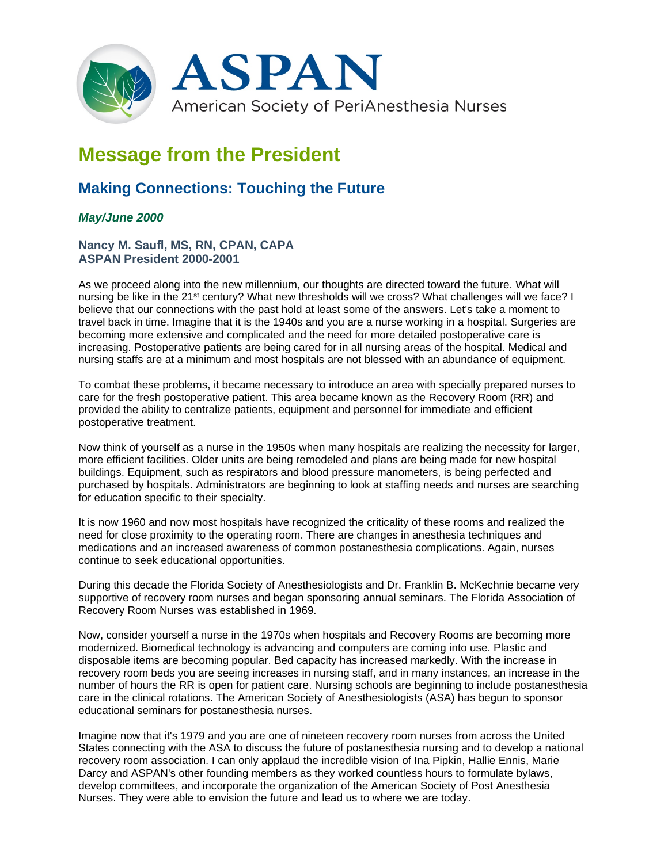

## **Message from the President**

## **Making Connections: Touching the Future**

## *May/June 2000*

## **Nancy M. Saufl, MS, RN, CPAN, CAPA ASPAN President 2000-2001**

As we proceed along into the new millennium, our thoughts are directed toward the future. What will nursing be like in the 21<sup>st</sup> century? What new thresholds will we cross? What challenges will we face? I believe that our connections with the past hold at least some of the answers. Let's take a moment to travel back in time. Imagine that it is the 1940s and you are a nurse working in a hospital. Surgeries are becoming more extensive and complicated and the need for more detailed postoperative care is increasing. Postoperative patients are being cared for in all nursing areas of the hospital. Medical and nursing staffs are at a minimum and most hospitals are not blessed with an abundance of equipment.

To combat these problems, it became necessary to introduce an area with specially prepared nurses to care for the fresh postoperative patient. This area became known as the Recovery Room (RR) and provided the ability to centralize patients, equipment and personnel for immediate and efficient postoperative treatment.

Now think of yourself as a nurse in the 1950s when many hospitals are realizing the necessity for larger, more efficient facilities. Older units are being remodeled and plans are being made for new hospital buildings. Equipment, such as respirators and blood pressure manometers, is being perfected and purchased by hospitals. Administrators are beginning to look at staffing needs and nurses are searching for education specific to their specialty.

It is now 1960 and now most hospitals have recognized the criticality of these rooms and realized the need for close proximity to the operating room. There are changes in anesthesia techniques and medications and an increased awareness of common postanesthesia complications. Again, nurses continue to seek educational opportunities.

During this decade the Florida Society of Anesthesiologists and Dr. Franklin B. McKechnie became very supportive of recovery room nurses and began sponsoring annual seminars. The Florida Association of Recovery Room Nurses was established in 1969.

Now, consider yourself a nurse in the 1970s when hospitals and Recovery Rooms are becoming more modernized. Biomedical technology is advancing and computers are coming into use. Plastic and disposable items are becoming popular. Bed capacity has increased markedly. With the increase in recovery room beds you are seeing increases in nursing staff, and in many instances, an increase in the number of hours the RR is open for patient care. Nursing schools are beginning to include postanesthesia care in the clinical rotations. The American Society of Anesthesiologists (ASA) has begun to sponsor educational seminars for postanesthesia nurses.

Imagine now that it's 1979 and you are one of nineteen recovery room nurses from across the United States connecting with the ASA to discuss the future of postanesthesia nursing and to develop a national recovery room association. I can only applaud the incredible vision of Ina Pipkin, Hallie Ennis, Marie Darcy and ASPAN's other founding members as they worked countless hours to formulate bylaws, develop committees, and incorporate the organization of the American Society of Post Anesthesia Nurses. They were able to envision the future and lead us to where we are today.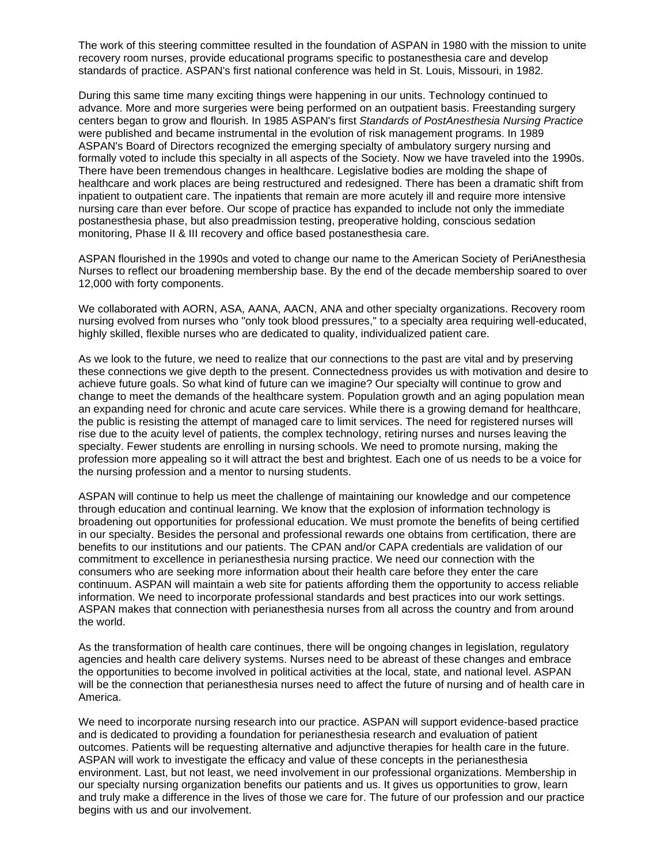The work of this steering committee resulted in the foundation of ASPAN in 1980 with the mission to unite recovery room nurses, provide educational programs specific to postanesthesia care and develop standards of practice. ASPAN's first national conference was held in St. Louis, Missouri, in 1982.

During this same time many exciting things were happening in our units. Technology continued to advance. More and more surgeries were being performed on an outpatient basis. Freestanding surgery centers began to grow and flourish. In 1985 ASPAN's first *Standards of PostAnesthesia Nursing Practice* were published and became instrumental in the evolution of risk management programs. In 1989 ASPAN's Board of Directors recognized the emerging specialty of ambulatory surgery nursing and formally voted to include this specialty in all aspects of the Society. Now we have traveled into the 1990s. There have been tremendous changes in healthcare. Legislative bodies are molding the shape of healthcare and work places are being restructured and redesigned. There has been a dramatic shift from inpatient to outpatient care. The inpatients that remain are more acutely ill and require more intensive nursing care than ever before. Our scope of practice has expanded to include not only the immediate postanesthesia phase, but also preadmission testing, preoperative holding, conscious sedation monitoring, Phase II & III recovery and office based postanesthesia care.

ASPAN flourished in the 1990s and voted to change our name to the American Society of PeriAnesthesia Nurses to reflect our broadening membership base. By the end of the decade membership soared to over 12,000 with forty components.

We collaborated with AORN, ASA, AANA, AACN, ANA and other specialty organizations. Recovery room nursing evolved from nurses who "only took blood pressures," to a specialty area requiring well-educated, highly skilled, flexible nurses who are dedicated to quality, individualized patient care.

As we look to the future, we need to realize that our connections to the past are vital and by preserving these connections we give depth to the present. Connectedness provides us with motivation and desire to achieve future goals. So what kind of future can we imagine? Our specialty will continue to grow and change to meet the demands of the healthcare system. Population growth and an aging population mean an expanding need for chronic and acute care services. While there is a growing demand for healthcare, the public is resisting the attempt of managed care to limit services. The need for registered nurses will rise due to the acuity level of patients, the complex technology, retiring nurses and nurses leaving the specialty. Fewer students are enrolling in nursing schools. We need to promote nursing, making the profession more appealing so it will attract the best and brightest. Each one of us needs to be a voice for the nursing profession and a mentor to nursing students.

ASPAN will continue to help us meet the challenge of maintaining our knowledge and our competence through education and continual learning. We know that the explosion of information technology is broadening out opportunities for professional education. We must promote the benefits of being certified in our specialty. Besides the personal and professional rewards one obtains from certification, there are benefits to our institutions and our patients. The CPAN and/or CAPA credentials are validation of our commitment to excellence in perianesthesia nursing practice. We need our connection with the consumers who are seeking more information about their health care before they enter the care continuum. ASPAN will maintain a web site for patients affording them the opportunity to access reliable information. We need to incorporate professional standards and best practices into our work settings. ASPAN makes that connection with perianesthesia nurses from all across the country and from around the world.

As the transformation of health care continues, there will be ongoing changes in legislation, regulatory agencies and health care delivery systems. Nurses need to be abreast of these changes and embrace the opportunities to become involved in political activities at the local, state, and national level. ASPAN will be the connection that perianesthesia nurses need to affect the future of nursing and of health care in America.

We need to incorporate nursing research into our practice. ASPAN will support evidence-based practice and is dedicated to providing a foundation for perianesthesia research and evaluation of patient outcomes. Patients will be requesting alternative and adjunctive therapies for health care in the future. ASPAN will work to investigate the efficacy and value of these concepts in the perianesthesia environment. Last, but not least, we need involvement in our professional organizations. Membership in our specialty nursing organization benefits our patients and us. It gives us opportunities to grow, learn and truly make a difference in the lives of those we care for. The future of our profession and our practice begins with us and our involvement.